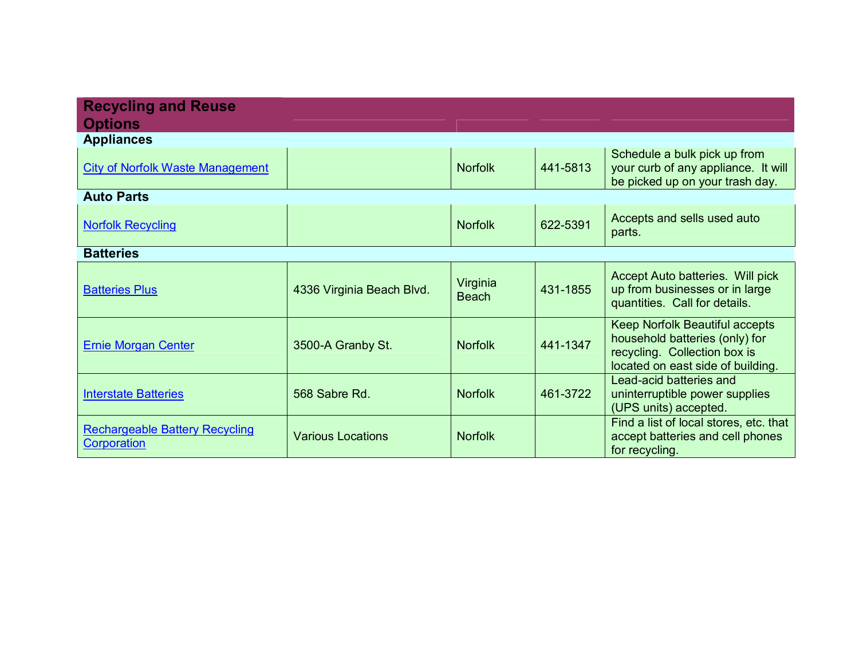| <b>Recycling and Reuse</b><br><b>Options</b>                |                           |                          |          |                                                                                                                                              |
|-------------------------------------------------------------|---------------------------|--------------------------|----------|----------------------------------------------------------------------------------------------------------------------------------------------|
| <b>Appliances</b>                                           |                           |                          |          |                                                                                                                                              |
| <b>City of Norfolk Waste Management</b>                     |                           | <b>Norfolk</b>           | 441-5813 | Schedule a bulk pick up from<br>your curb of any appliance. It will<br>be picked up on your trash day.                                       |
| <b>Auto Parts</b>                                           |                           |                          |          |                                                                                                                                              |
| <b>Norfolk Recycling</b>                                    |                           | <b>Norfolk</b>           | 622-5391 | Accepts and sells used auto<br>parts.                                                                                                        |
| <b>Batteries</b>                                            |                           |                          |          |                                                                                                                                              |
| <b>Batteries Plus</b>                                       | 4336 Virginia Beach Blvd. | Virginia<br><b>Beach</b> | 431-1855 | Accept Auto batteries. Will pick<br>up from businesses or in large<br>quantities. Call for details.                                          |
| <b>Ernie Morgan Center</b>                                  | 3500-A Granby St.         | <b>Norfolk</b>           | 441-1347 | <b>Keep Norfolk Beautiful accepts</b><br>household batteries (only) for<br>recycling. Collection box is<br>located on east side of building. |
| <b>Interstate Batteries</b>                                 | 568 Sabre Rd.             | <b>Norfolk</b>           | 461-3722 | Lead-acid batteries and<br>uninterruptible power supplies<br>(UPS units) accepted.                                                           |
| <b>Rechargeable Battery Recycling</b><br><b>Corporation</b> | <b>Various Locations</b>  | <b>Norfolk</b>           |          | Find a list of local stores, etc. that<br>accept batteries and cell phones<br>for recycling.                                                 |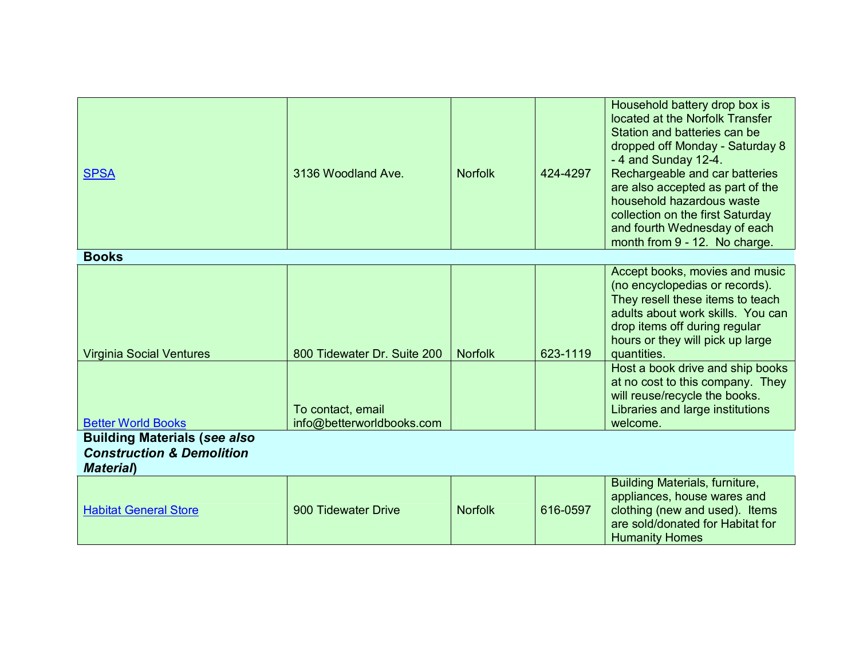| <b>SPSA</b>                                                                                      | 3136 Woodland Ave.                             | <b>Norfolk</b> | 424-4297 | Household battery drop box is<br>located at the Norfolk Transfer<br>Station and batteries can be<br>dropped off Monday - Saturday 8<br>-4 and Sunday 12-4.<br>Rechargeable and car batteries<br>are also accepted as part of the<br>household hazardous waste<br>collection on the first Saturday<br>and fourth Wednesday of each<br>month from 9 - 12. No charge. |
|--------------------------------------------------------------------------------------------------|------------------------------------------------|----------------|----------|--------------------------------------------------------------------------------------------------------------------------------------------------------------------------------------------------------------------------------------------------------------------------------------------------------------------------------------------------------------------|
| <b>Books</b>                                                                                     |                                                |                |          |                                                                                                                                                                                                                                                                                                                                                                    |
| <b>Virginia Social Ventures</b>                                                                  | 800 Tidewater Dr. Suite 200                    | <b>Norfolk</b> | 623-1119 | Accept books, movies and music<br>(no encyclopedias or records).<br>They resell these items to teach<br>adults about work skills. You can<br>drop items off during regular<br>hours or they will pick up large<br>quantities.                                                                                                                                      |
| <b>Better World Books</b>                                                                        | To contact, email<br>info@betterworldbooks.com |                |          | Host a book drive and ship books<br>at no cost to this company. They<br>will reuse/recycle the books.<br>Libraries and large institutions<br>welcome.                                                                                                                                                                                                              |
| <b>Building Materials (see also</b><br><b>Construction &amp; Demolition</b><br><b>Material</b> ) |                                                |                |          |                                                                                                                                                                                                                                                                                                                                                                    |
| <b>Habitat General Store</b>                                                                     | 900 Tidewater Drive                            | <b>Norfolk</b> | 616-0597 | Building Materials, furniture,<br>appliances, house wares and<br>clothing (new and used). Items<br>are sold/donated for Habitat for<br><b>Humanity Homes</b>                                                                                                                                                                                                       |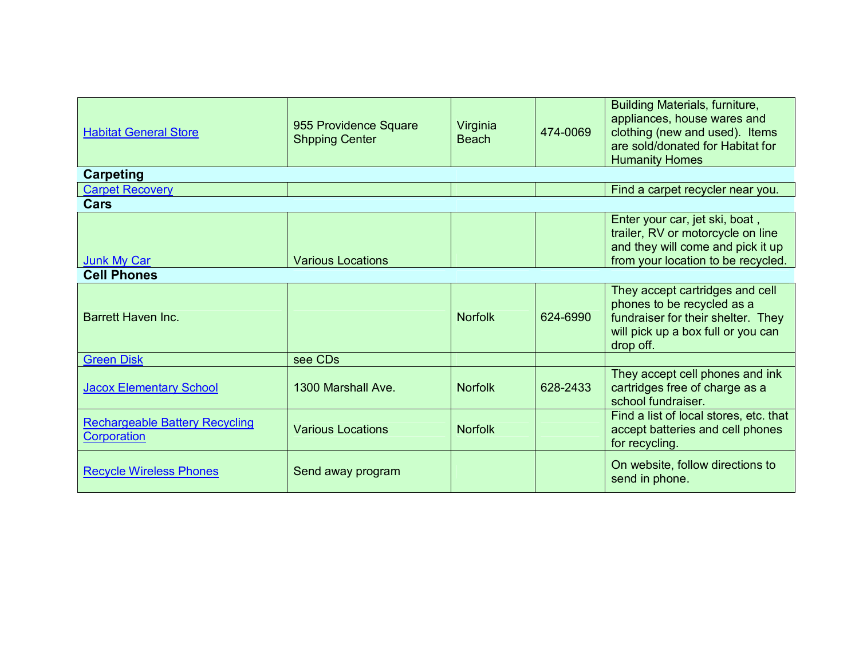| <b>Habitat General Store</b>                                | 955 Providence Square<br><b>Shpping Center</b> | Virginia<br><b>Beach</b> | 474-0069 | Building Materials, furniture,<br>appliances, house wares and<br>clothing (new and used). Items<br>are sold/donated for Habitat for<br><b>Humanity Homes</b> |  |  |  |
|-------------------------------------------------------------|------------------------------------------------|--------------------------|----------|--------------------------------------------------------------------------------------------------------------------------------------------------------------|--|--|--|
| <b>Carpeting</b>                                            |                                                |                          |          |                                                                                                                                                              |  |  |  |
| <b>Carpet Recovery</b>                                      |                                                |                          |          | Find a carpet recycler near you.                                                                                                                             |  |  |  |
| Cars                                                        |                                                |                          |          |                                                                                                                                                              |  |  |  |
| Junk My Car                                                 | <b>Various Locations</b>                       |                          |          | Enter your car, jet ski, boat,<br>trailer, RV or motorcycle on line<br>and they will come and pick it up<br>from your location to be recycled.               |  |  |  |
| <b>Cell Phones</b>                                          |                                                |                          |          |                                                                                                                                                              |  |  |  |
| <b>Barrett Haven Inc.</b>                                   |                                                | <b>Norfolk</b>           | 624-6990 | They accept cartridges and cell<br>phones to be recycled as a<br>fundraiser for their shelter. They<br>will pick up a box full or you can<br>drop off.       |  |  |  |
| <b>Green Disk</b>                                           | see CDs                                        |                          |          |                                                                                                                                                              |  |  |  |
| <b>Jacox Elementary School</b>                              | 1300 Marshall Ave.                             | <b>Norfolk</b>           | 628-2433 | They accept cell phones and ink<br>cartridges free of charge as a<br>school fundraiser.                                                                      |  |  |  |
| <b>Rechargeable Battery Recycling</b><br><b>Corporation</b> | <b>Various Locations</b>                       | <b>Norfolk</b>           |          | Find a list of local stores, etc. that<br>accept batteries and cell phones<br>for recycling.                                                                 |  |  |  |
| <b>Recycle Wireless Phones</b>                              | Send away program                              |                          |          | On website, follow directions to<br>send in phone.                                                                                                           |  |  |  |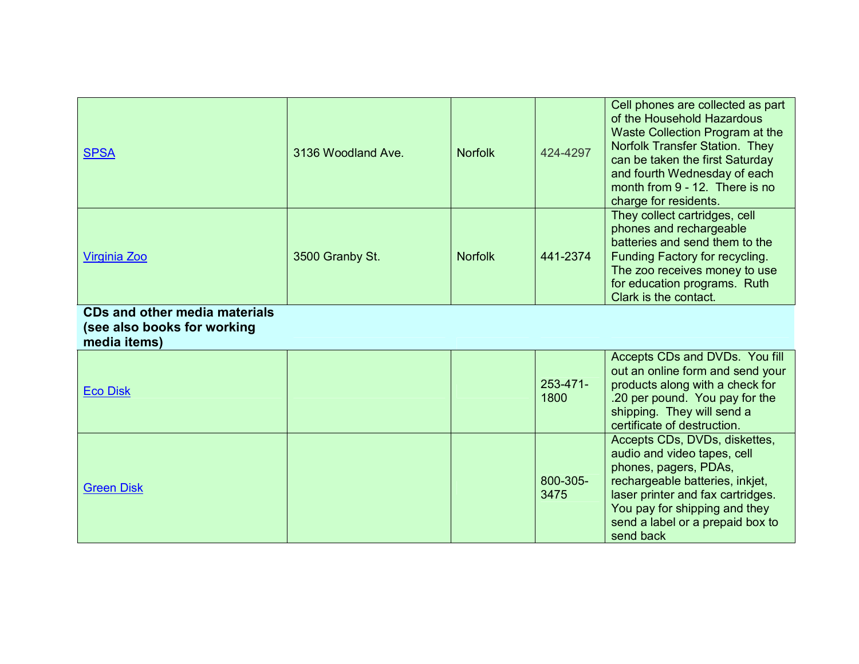| <b>SPSA</b>                                                                         | 3136 Woodland Ave. | <b>Norfolk</b> | 424-4297              | Cell phones are collected as part<br>of the Household Hazardous<br>Waste Collection Program at the<br>Norfolk Transfer Station. They<br>can be taken the first Saturday<br>and fourth Wednesday of each<br>month from 9 - 12. There is no<br>charge for residents. |
|-------------------------------------------------------------------------------------|--------------------|----------------|-----------------------|--------------------------------------------------------------------------------------------------------------------------------------------------------------------------------------------------------------------------------------------------------------------|
| Virginia Zoo                                                                        | 3500 Granby St.    | <b>Norfolk</b> | 441-2374              | They collect cartridges, cell<br>phones and rechargeable<br>batteries and send them to the<br>Funding Factory for recycling.<br>The zoo receives money to use<br>for education programs. Ruth<br>Clark is the contact.                                             |
| <b>CDs and other media materials</b><br>(see also books for working<br>media items) |                    |                |                       |                                                                                                                                                                                                                                                                    |
| <b>Eco Disk</b>                                                                     |                    |                | $253 - 471 -$<br>1800 | Accepts CDs and DVDs. You fill<br>out an online form and send your<br>products along with a check for<br>.20 per pound. You pay for the<br>shipping. They will send a<br>certificate of destruction.                                                               |
| <b>Green Disk</b>                                                                   |                    |                | 800-305-<br>3475      | Accepts CDs, DVDs, diskettes,<br>audio and video tapes, cell<br>phones, pagers, PDAs,<br>rechargeable batteries, inkjet,<br>laser printer and fax cartridges.<br>You pay for shipping and they<br>send a label or a prepaid box to<br>send back                    |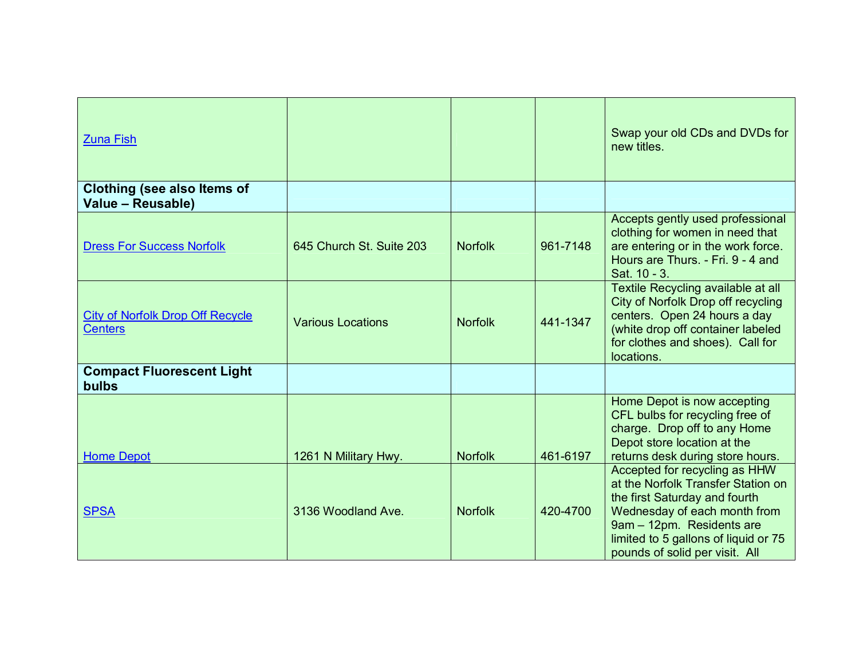| <b>Zuna Fish</b>                                          |                          |                |          | Swap your old CDs and DVDs for<br>new titles.                                                                                                                                                                                               |
|-----------------------------------------------------------|--------------------------|----------------|----------|---------------------------------------------------------------------------------------------------------------------------------------------------------------------------------------------------------------------------------------------|
| <b>Clothing (see also Items of</b><br>Value - Reusable)   |                          |                |          |                                                                                                                                                                                                                                             |
| <b>Dress For Success Norfolk</b>                          | 645 Church St. Suite 203 | <b>Norfolk</b> | 961-7148 | Accepts gently used professional<br>clothing for women in need that<br>are entering or in the work force.<br>Hours are Thurs. - Fri. 9 - 4 and<br>Sat. 10 - 3.                                                                              |
| <b>City of Norfolk Drop Off Recycle</b><br><b>Centers</b> | <b>Various Locations</b> | <b>Norfolk</b> | 441-1347 | Textile Recycling available at all<br>City of Norfolk Drop off recycling<br>centers. Open 24 hours a day<br>(white drop off container labeled<br>for clothes and shoes). Call for<br>locations.                                             |
| <b>Compact Fluorescent Light</b><br><b>bulbs</b>          |                          |                |          |                                                                                                                                                                                                                                             |
| <b>Home Depot</b>                                         | 1261 N Military Hwy.     | <b>Norfolk</b> | 461-6197 | Home Depot is now accepting<br>CFL bulbs for recycling free of<br>charge. Drop off to any Home<br>Depot store location at the<br>returns desk during store hours.                                                                           |
| <b>SPSA</b>                                               | 3136 Woodland Ave.       | <b>Norfolk</b> | 420-4700 | Accepted for recycling as HHW<br>at the Norfolk Transfer Station on<br>the first Saturday and fourth<br>Wednesday of each month from<br>9am - 12pm. Residents are<br>limited to 5 gallons of liquid or 75<br>pounds of solid per visit. All |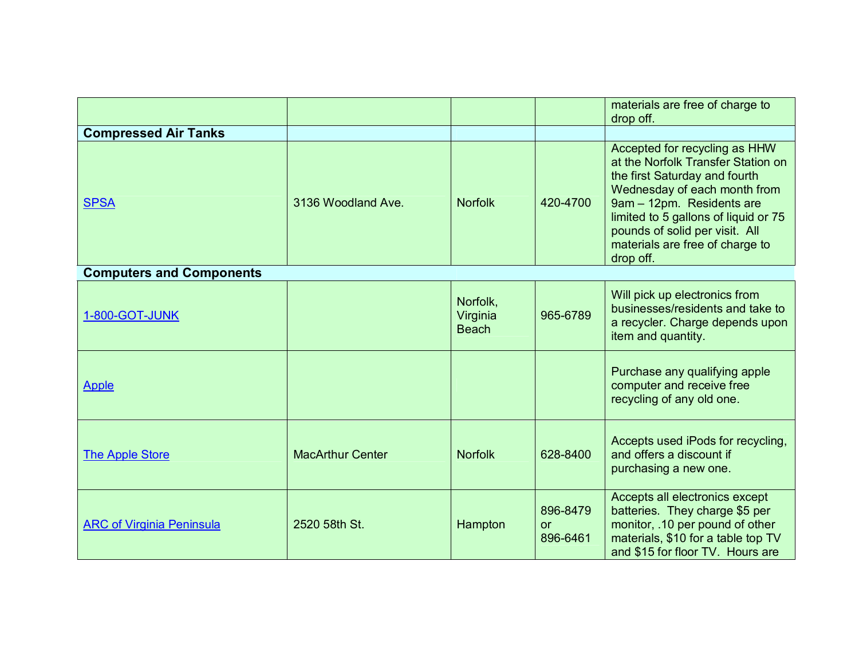|                                  |                         |                                      |                                   | materials are free of charge to<br>drop off.                                                                                                                                                                                                                                                |
|----------------------------------|-------------------------|--------------------------------------|-----------------------------------|---------------------------------------------------------------------------------------------------------------------------------------------------------------------------------------------------------------------------------------------------------------------------------------------|
| <b>Compressed Air Tanks</b>      |                         |                                      |                                   |                                                                                                                                                                                                                                                                                             |
| <b>SPSA</b>                      | 3136 Woodland Ave.      | <b>Norfolk</b>                       | 420-4700                          | Accepted for recycling as HHW<br>at the Norfolk Transfer Station on<br>the first Saturday and fourth<br>Wednesday of each month from<br>9am - 12pm. Residents are<br>limited to 5 gallons of liquid or 75<br>pounds of solid per visit. All<br>materials are free of charge to<br>drop off. |
| <b>Computers and Components</b>  |                         |                                      |                                   |                                                                                                                                                                                                                                                                                             |
| 1-800-GOT-JUNK                   |                         | Norfolk,<br>Virginia<br><b>Beach</b> | 965-6789                          | Will pick up electronics from<br>businesses/residents and take to<br>a recycler. Charge depends upon<br>item and quantity.                                                                                                                                                                  |
| <b>Apple</b>                     |                         |                                      |                                   | Purchase any qualifying apple<br>computer and receive free<br>recycling of any old one.                                                                                                                                                                                                     |
| <b>The Apple Store</b>           | <b>MacArthur Center</b> | <b>Norfolk</b>                       | 628-8400                          | Accepts used iPods for recycling,<br>and offers a discount if<br>purchasing a new one.                                                                                                                                                                                                      |
| <b>ARC of Virginia Peninsula</b> | 2520 58th St.           | Hampton                              | 896-8479<br><b>or</b><br>896-6461 | Accepts all electronics except<br>batteries. They charge \$5 per<br>monitor, .10 per pound of other<br>materials, \$10 for a table top TV<br>and \$15 for floor TV. Hours are                                                                                                               |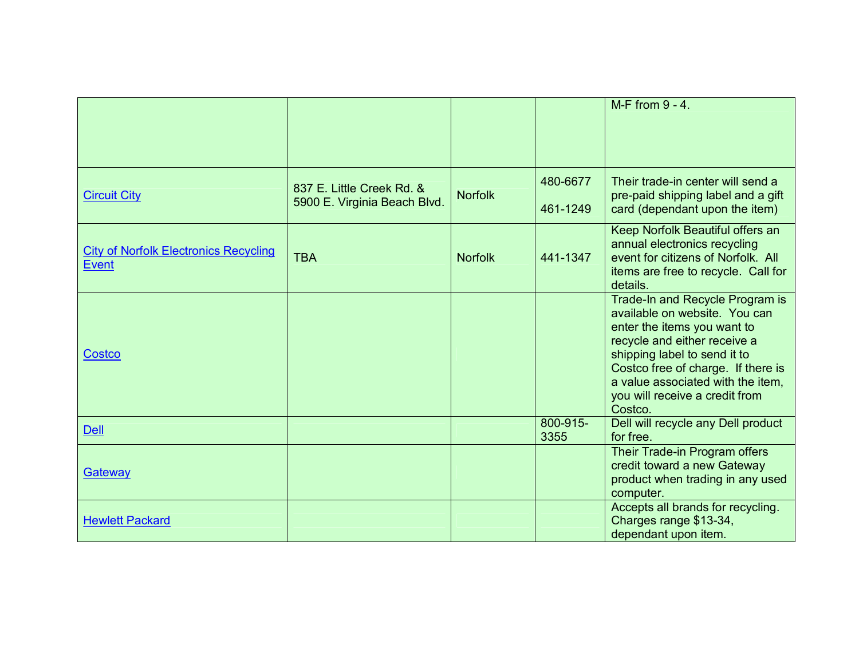|                                                              |                                                           |                |                      | M-F from 9 - 4.                                                                                                                                                                                                                                                                         |
|--------------------------------------------------------------|-----------------------------------------------------------|----------------|----------------------|-----------------------------------------------------------------------------------------------------------------------------------------------------------------------------------------------------------------------------------------------------------------------------------------|
| <b>Circuit City</b>                                          | 837 E. Little Creek Rd. &<br>5900 E. Virginia Beach Blvd. | <b>Norfolk</b> | 480-6677<br>461-1249 | Their trade-in center will send a<br>pre-paid shipping label and a gift<br>card (dependant upon the item)                                                                                                                                                                               |
| <b>City of Norfolk Electronics Recycling</b><br><b>Event</b> | <b>TBA</b>                                                | <b>Norfolk</b> | 441-1347             | Keep Norfolk Beautiful offers an<br>annual electronics recycling<br>event for citizens of Norfolk. All<br>items are free to recycle. Call for<br>details.                                                                                                                               |
| Costco                                                       |                                                           |                |                      | Trade-In and Recycle Program is<br>available on website. You can<br>enter the items you want to<br>recycle and either receive a<br>shipping label to send it to<br>Costco free of charge. If there is<br>a value associated with the item,<br>you will receive a credit from<br>Costco. |
| <b>Dell</b>                                                  |                                                           |                | 800-915-<br>3355     | Dell will recycle any Dell product<br>for free.                                                                                                                                                                                                                                         |
| Gateway                                                      |                                                           |                |                      | Their Trade-in Program offers<br>credit toward a new Gateway<br>product when trading in any used<br>computer.                                                                                                                                                                           |
| <b>Hewlett Packard</b>                                       |                                                           |                |                      | Accepts all brands for recycling.<br>Charges range \$13-34,<br>dependant upon item.                                                                                                                                                                                                     |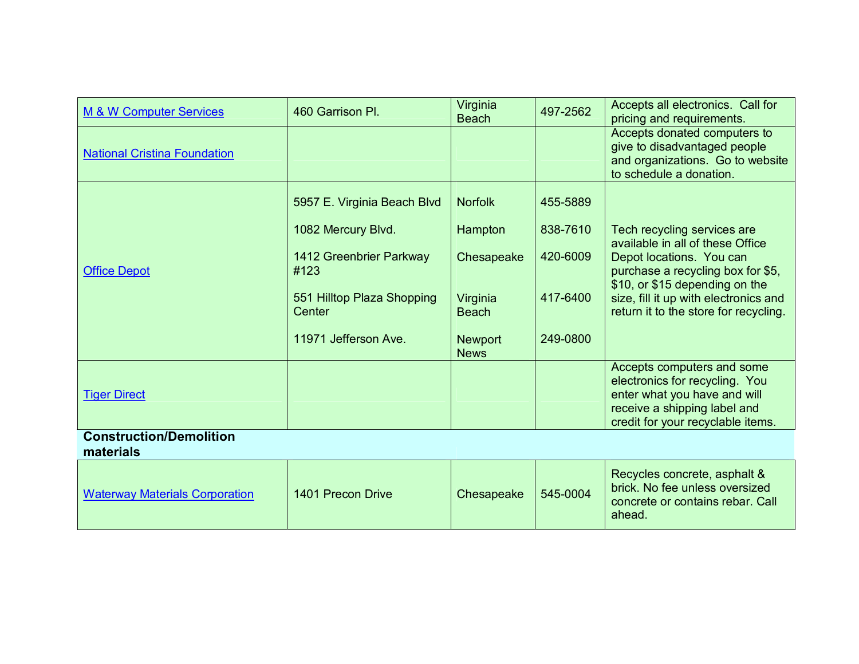| M & W Computer Services                     | 460 Garrison Pl.                     | Virginia<br><b>Beach</b>      | 497-2562 | Accepts all electronics. Call for<br>pricing and requirements.                                                              |
|---------------------------------------------|--------------------------------------|-------------------------------|----------|-----------------------------------------------------------------------------------------------------------------------------|
| <b>National Cristina Foundation</b>         |                                      |                               |          | Accepts donated computers to<br>give to disadvantaged people<br>and organizations. Go to website<br>to schedule a donation. |
|                                             | 5957 E. Virginia Beach Blvd          | <b>Norfolk</b>                | 455-5889 |                                                                                                                             |
|                                             | 1082 Mercury Blvd.                   | Hampton                       | 838-7610 | Tech recycling services are<br>available in all of these Office                                                             |
| <b>Office Depot</b>                         | 1412 Greenbrier Parkway<br>#123      | Chesapeake                    | 420-6009 | Depot locations. You can<br>purchase a recycling box for \$5,<br>\$10, or \$15 depending on the                             |
|                                             | 551 Hilltop Plaza Shopping<br>Center | Virginia<br><b>Beach</b>      | 417-6400 | size, fill it up with electronics and<br>return it to the store for recycling.                                              |
|                                             | 11971 Jefferson Ave.                 | <b>Newport</b><br><b>News</b> | 249-0800 |                                                                                                                             |
|                                             |                                      |                               |          | Accepts computers and some<br>electronics for recycling. You                                                                |
| <b>Tiger Direct</b>                         |                                      |                               |          | enter what you have and will<br>receive a shipping label and<br>credit for your recyclable items.                           |
| <b>Construction/Demolition</b><br>materials |                                      |                               |          |                                                                                                                             |
| <b>Waterway Materials Corporation</b>       | 1401 Precon Drive                    | Chesapeake                    | 545-0004 | Recycles concrete, asphalt &<br>brick. No fee unless oversized<br>concrete or contains rebar. Call<br>ahead.                |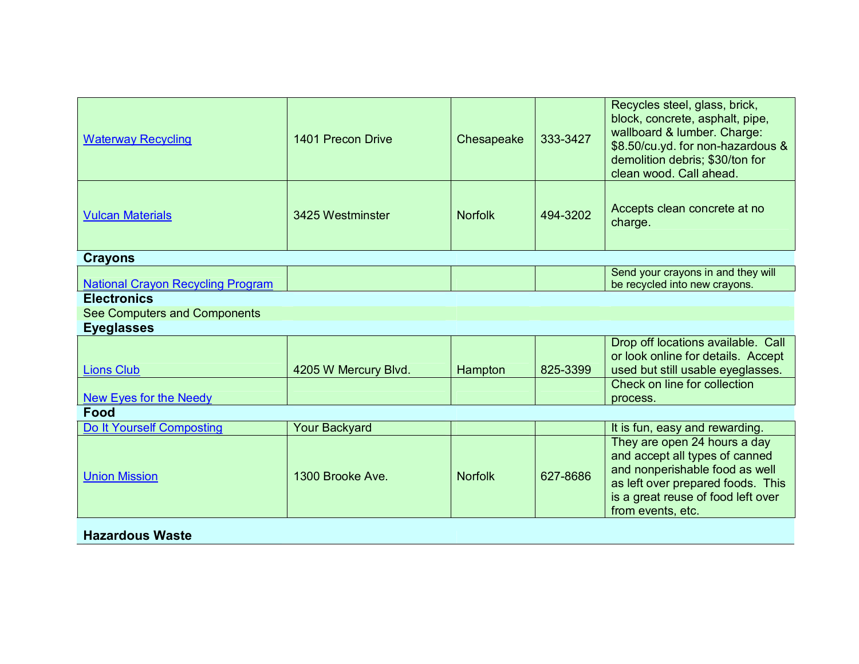| <b>Waterway Recycling</b>                | 1401 Precon Drive    | Chesapeake     | 333-3427 | Recycles steel, glass, brick,<br>block, concrete, asphalt, pipe,<br>wallboard & lumber. Charge:<br>\$8.50/cu.yd. for non-hazardous &<br>demolition debris; \$30/ton for<br>clean wood. Call ahead. |
|------------------------------------------|----------------------|----------------|----------|----------------------------------------------------------------------------------------------------------------------------------------------------------------------------------------------------|
| <b>Vulcan Materials</b>                  | 3425 Westminster     | <b>Norfolk</b> | 494-3202 | Accepts clean concrete at no<br>charge.                                                                                                                                                            |
| <b>Crayons</b>                           |                      |                |          |                                                                                                                                                                                                    |
| <b>National Crayon Recycling Program</b> |                      |                |          | Send your crayons in and they will<br>be recycled into new crayons.                                                                                                                                |
| <b>Electronics</b>                       |                      |                |          |                                                                                                                                                                                                    |
| See Computers and Components             |                      |                |          |                                                                                                                                                                                                    |
| <b>Eyeglasses</b>                        |                      |                |          |                                                                                                                                                                                                    |
| <b>Lions Club</b>                        | 4205 W Mercury Blvd. | Hampton        | 825-3399 | Drop off locations available. Call<br>or look online for details. Accept<br>used but still usable eyeglasses.                                                                                      |
| New Eyes for the Needy                   |                      |                |          | Check on line for collection<br>process.                                                                                                                                                           |
| Food                                     |                      |                |          |                                                                                                                                                                                                    |
| Do It Yourself Composting                | <b>Your Backyard</b> |                |          | It is fun, easy and rewarding.                                                                                                                                                                     |
| <b>Union Mission</b>                     | 1300 Brooke Ave.     | <b>Norfolk</b> | 627-8686 | They are open 24 hours a day<br>and accept all types of canned<br>and nonperishable food as well<br>as left over prepared foods. This<br>is a great reuse of food left over<br>from events, etc.   |
| <b>Hazardous Waste</b>                   |                      |                |          |                                                                                                                                                                                                    |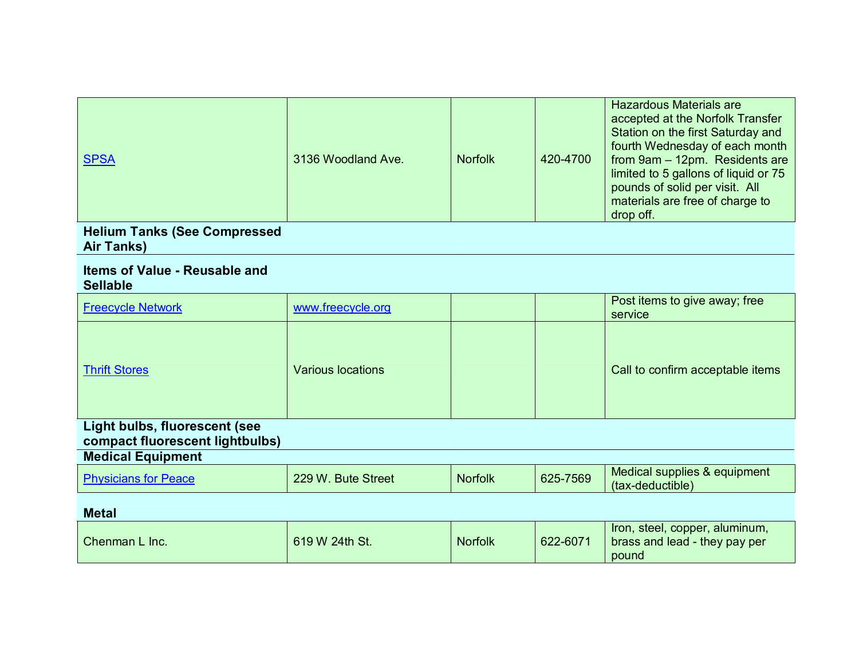| <b>SPSA</b>                                                      | 3136 Woodland Ave.       | <b>Norfolk</b> | 420-4700 | <b>Hazardous Materials are</b><br>accepted at the Norfolk Transfer<br>Station on the first Saturday and<br>fourth Wednesday of each month<br>from 9am - 12pm. Residents are<br>limited to 5 gallons of liquid or 75<br>pounds of solid per visit. All<br>materials are free of charge to<br>drop off. |
|------------------------------------------------------------------|--------------------------|----------------|----------|-------------------------------------------------------------------------------------------------------------------------------------------------------------------------------------------------------------------------------------------------------------------------------------------------------|
| <b>Helium Tanks (See Compressed</b><br>Air Tanks)                |                          |                |          |                                                                                                                                                                                                                                                                                                       |
| <b>Items of Value - Reusable and</b><br><b>Sellable</b>          |                          |                |          |                                                                                                                                                                                                                                                                                                       |
| <b>Freecycle Network</b>                                         | www.freecycle.org        |                |          | Post items to give away; free<br>service                                                                                                                                                                                                                                                              |
| <b>Thrift Stores</b>                                             | <b>Various locations</b> |                |          | Call to confirm acceptable items                                                                                                                                                                                                                                                                      |
| Light bulbs, fluorescent (see<br>compact fluorescent lightbulbs) |                          |                |          |                                                                                                                                                                                                                                                                                                       |
| <b>Medical Equipment</b>                                         |                          |                |          |                                                                                                                                                                                                                                                                                                       |
| <b>Physicians for Peace</b>                                      | 229 W. Bute Street       | <b>Norfolk</b> | 625-7569 | Medical supplies & equipment<br>(tax-deductible)                                                                                                                                                                                                                                                      |
| <b>Metal</b>                                                     |                          |                |          |                                                                                                                                                                                                                                                                                                       |
| Chenman L Inc.                                                   | 619 W 24th St.           | <b>Norfolk</b> | 622-6071 | Iron, steel, copper, aluminum,<br>brass and lead - they pay per<br>pound                                                                                                                                                                                                                              |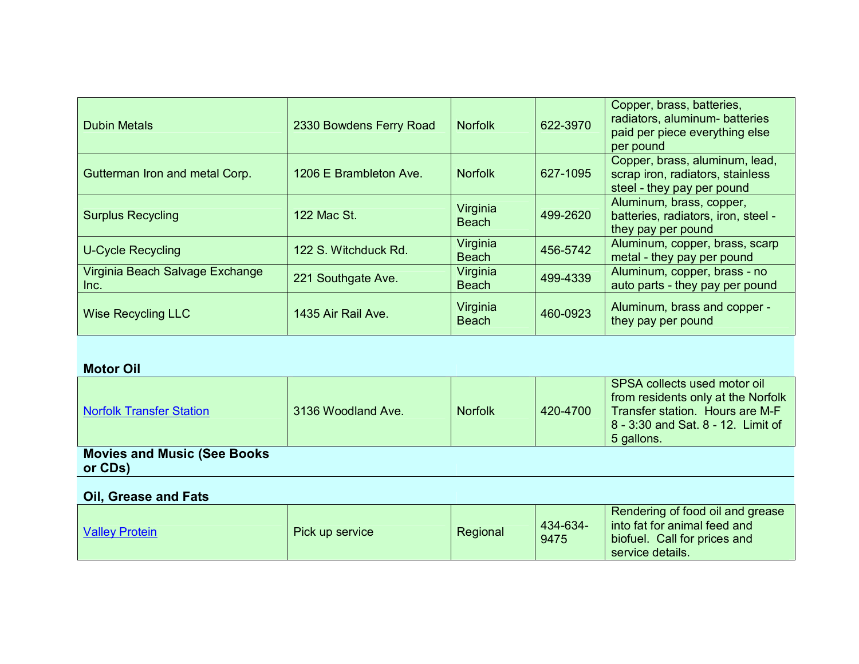| <b>Dubin Metals</b>                     | 2330 Bowdens Ferry Road | <b>Norfolk</b>           | 622-3970 | Copper, brass, batteries,<br>radiators, aluminum- batteries<br>paid per piece everything else<br>per pound |
|-----------------------------------------|-------------------------|--------------------------|----------|------------------------------------------------------------------------------------------------------------|
| Gutterman Iron and metal Corp.          | 1206 E Brambleton Ave.  | <b>Norfolk</b>           | 627-1095 | Copper, brass, aluminum, lead,<br>scrap iron, radiators, stainless<br>steel - they pay per pound           |
| <b>Surplus Recycling</b>                | 122 Mac St.             | Virginia<br><b>Beach</b> | 499-2620 | Aluminum, brass, copper,<br>batteries, radiators, iron, steel -<br>they pay per pound                      |
| <b>U-Cycle Recycling</b>                | 122 S. Witchduck Rd.    | Virginia<br><b>Beach</b> | 456-5742 | Aluminum, copper, brass, scarp<br>metal - they pay per pound                                               |
| Virginia Beach Salvage Exchange<br>Inc. | 221 Southgate Ave.      | Virginia<br><b>Beach</b> | 499-4339 | Aluminum, copper, brass - no<br>auto parts - they pay per pound                                            |
| <b>Wise Recycling LLC</b>               | 1435 Air Rail Ave.      | Virginia<br><b>Beach</b> | 460-0923 | Aluminum, brass and copper -<br>they pay per pound                                                         |

## **Motor Oil**

| Norfolk Transfer Station                                                                            | 3136 Woodland Ave. | <b>Norfolk</b> | 420-4700 | SPSA collects used motor oil<br>from residents only at the Norfolk<br>Transfer station. Hours are M-F<br>8 - 3:30 and Sat, 8 - 12. Limit of<br>5 gallons. |
|-----------------------------------------------------------------------------------------------------|--------------------|----------------|----------|-----------------------------------------------------------------------------------------------------------------------------------------------------------|
| <b>Movies and Music (See Books)</b>                                                                 |                    |                |          |                                                                                                                                                           |
| or CDs)                                                                                             |                    |                |          |                                                                                                                                                           |
| $\bigcap_{i=1}^{n}$ $\bigcap_{i=1}^{n}$ $\bigcap_{i=1}^{n}$ $\bigcap_{i=1}^{n}$ $\bigcap_{i=1}^{n}$ |                    |                |          |                                                                                                                                                           |

## **Oil, Grease and Fats**

| <b>Valley Protein</b> | Pick up service | Regional | 434-634-<br>9475 | Rendering of food oil and grease<br>I into fat for animal feed and<br>biofuel Call for prices and<br>service details. |
|-----------------------|-----------------|----------|------------------|-----------------------------------------------------------------------------------------------------------------------|
|-----------------------|-----------------|----------|------------------|-----------------------------------------------------------------------------------------------------------------------|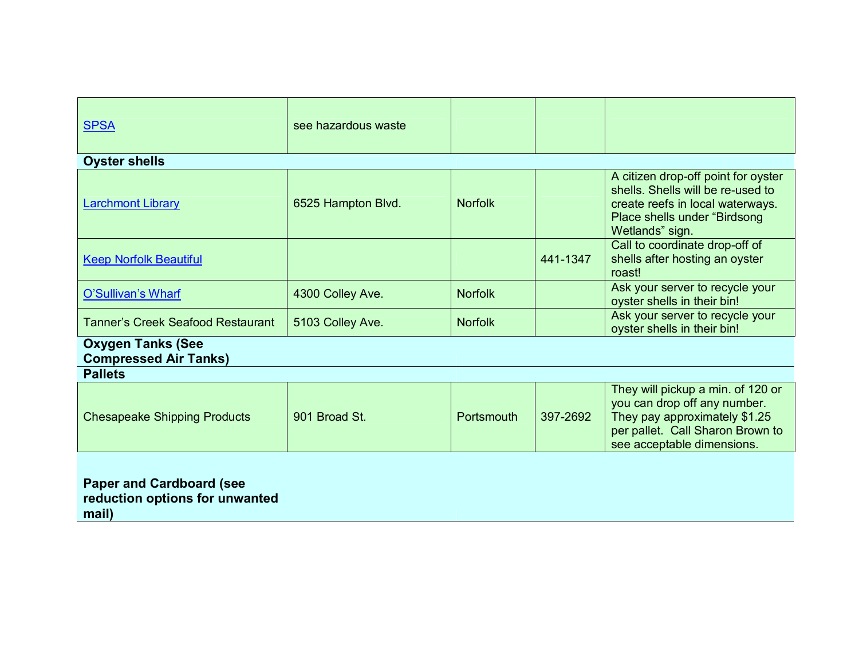| <b>SPSA</b>                                                                | see hazardous waste |                |          |                                                                                                                                                                      |
|----------------------------------------------------------------------------|---------------------|----------------|----------|----------------------------------------------------------------------------------------------------------------------------------------------------------------------|
| <b>Oyster shells</b>                                                       |                     |                |          |                                                                                                                                                                      |
| <b>Larchmont Library</b>                                                   | 6525 Hampton Blvd.  | <b>Norfolk</b> |          | A citizen drop-off point for oyster<br>shells. Shells will be re-used to<br>create reefs in local waterways.<br>Place shells under "Birdsong<br>Wetlands" sign.      |
| <b>Keep Norfolk Beautiful</b>                                              |                     |                | 441-1347 | Call to coordinate drop-off of<br>shells after hosting an oyster<br>roast!                                                                                           |
| O'Sullivan's Wharf                                                         | 4300 Colley Ave.    | <b>Norfolk</b> |          | Ask your server to recycle your<br>oyster shells in their bin!                                                                                                       |
| <b>Tanner's Creek Seafood Restaurant</b>                                   | 5103 Colley Ave.    | <b>Norfolk</b> |          | Ask your server to recycle your<br>oyster shells in their bin!                                                                                                       |
| <b>Oxygen Tanks (See</b><br><b>Compressed Air Tanks)</b>                   |                     |                |          |                                                                                                                                                                      |
| <b>Pallets</b>                                                             |                     |                |          |                                                                                                                                                                      |
| <b>Chesapeake Shipping Products</b>                                        | 901 Broad St.       | Portsmouth     | 397-2692 | They will pickup a min. of 120 or<br>you can drop off any number.<br>They pay approximately \$1.25<br>per pallet. Call Sharon Brown to<br>see acceptable dimensions. |
| <b>Paper and Cardboard (see</b><br>reduction options for unwanted<br>mail) |                     |                |          |                                                                                                                                                                      |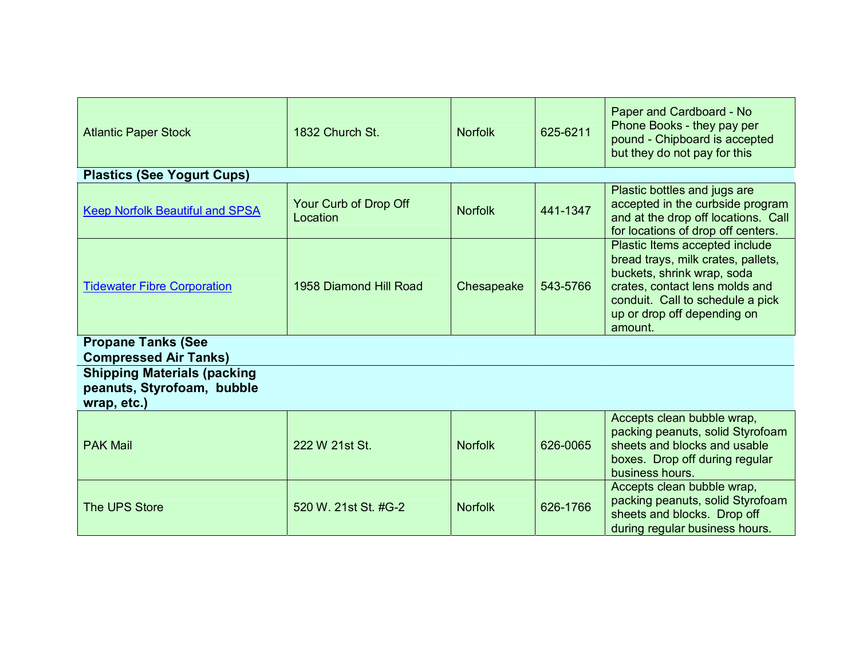| <b>Atlantic Paper Stock</b>                                                     | 1832 Church St.                   | <b>Norfolk</b> | 625-6211 | Paper and Cardboard - No<br>Phone Books - they pay per<br>pound - Chipboard is accepted<br>but they do not pay for this                                                                                            |
|---------------------------------------------------------------------------------|-----------------------------------|----------------|----------|--------------------------------------------------------------------------------------------------------------------------------------------------------------------------------------------------------------------|
| <b>Plastics (See Yogurt Cups)</b>                                               |                                   |                |          |                                                                                                                                                                                                                    |
| <b>Keep Norfolk Beautiful and SPSA</b>                                          | Your Curb of Drop Off<br>Location | <b>Norfolk</b> | 441-1347 | Plastic bottles and jugs are<br>accepted in the curbside program<br>and at the drop off locations. Call<br>for locations of drop off centers.                                                                      |
| <b>Tidewater Fibre Corporation</b>                                              | 1958 Diamond Hill Road            | Chesapeake     | 543-5766 | Plastic Items accepted include<br>bread trays, milk crates, pallets,<br>buckets, shrink wrap, soda<br>crates, contact lens molds and<br>conduit. Call to schedule a pick<br>up or drop off depending on<br>amount. |
| <b>Propane Tanks (See</b><br><b>Compressed Air Tanks)</b>                       |                                   |                |          |                                                                                                                                                                                                                    |
| <b>Shipping Materials (packing</b><br>peanuts, Styrofoam, bubble<br>wrap, etc.) |                                   |                |          |                                                                                                                                                                                                                    |
| <b>PAK Mail</b>                                                                 | 222 W 21st St.                    | <b>Norfolk</b> | 626-0065 | Accepts clean bubble wrap,<br>packing peanuts, solid Styrofoam<br>sheets and blocks and usable<br>boxes. Drop off during regular<br>business hours.                                                                |
| The UPS Store                                                                   | 520 W. 21st St. #G-2              | <b>Norfolk</b> | 626-1766 | Accepts clean bubble wrap,<br>packing peanuts, solid Styrofoam<br>sheets and blocks. Drop off<br>during regular business hours.                                                                                    |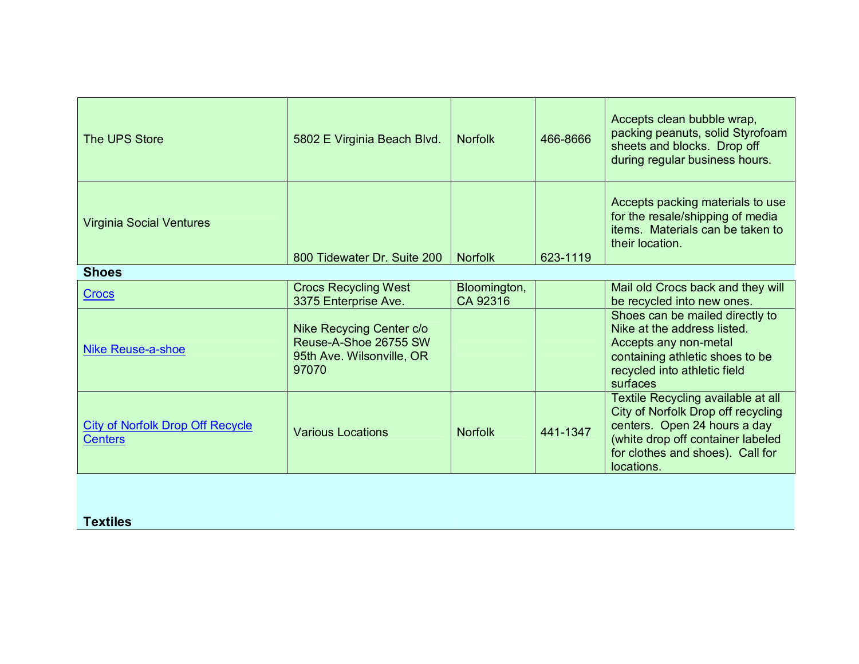| <b>The UPS Store</b>                                      | 5802 E Virginia Beach Blvd.                                                             | <b>Norfolk</b>           | 466-8666 | Accepts clean bubble wrap,<br>packing peanuts, solid Styrofoam<br>sheets and blocks. Drop off<br>during regular business hours.                                                                 |
|-----------------------------------------------------------|-----------------------------------------------------------------------------------------|--------------------------|----------|-------------------------------------------------------------------------------------------------------------------------------------------------------------------------------------------------|
| <b>Virginia Social Ventures</b>                           | 800 Tidewater Dr. Suite 200                                                             | <b>Norfolk</b>           | 623-1119 | Accepts packing materials to use<br>for the resale/shipping of media<br>items. Materials can be taken to<br>their location.                                                                     |
| <b>Shoes</b>                                              |                                                                                         |                          |          |                                                                                                                                                                                                 |
| <b>Crocs</b>                                              | <b>Crocs Recycling West</b><br>3375 Enterprise Ave.                                     | Bloomington,<br>CA 92316 |          | Mail old Crocs back and they will<br>be recycled into new ones.                                                                                                                                 |
| Nike Reuse-a-shoe                                         | Nike Recycing Center c/o<br>Reuse-A-Shoe 26755 SW<br>95th Ave. Wilsonville, OR<br>97070 |                          |          | Shoes can be mailed directly to<br>Nike at the address listed.<br>Accepts any non-metal<br>containing athletic shoes to be<br>recycled into athletic field<br>surfaces                          |
| <b>City of Norfolk Drop Off Recycle</b><br><b>Centers</b> | <b>Various Locations</b>                                                                | <b>Norfolk</b>           | 441-1347 | Textile Recycling available at all<br>City of Norfolk Drop off recycling<br>centers. Open 24 hours a day<br>(white drop off container labeled<br>for clothes and shoes). Call for<br>locations. |
| <b>Textiles</b>                                           |                                                                                         |                          |          |                                                                                                                                                                                                 |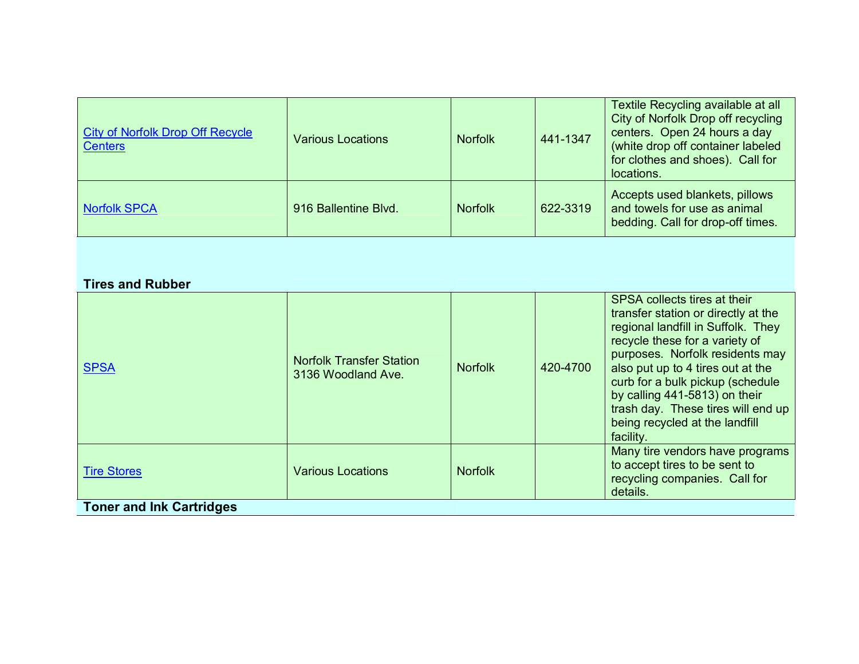| <b>City of Norfolk Drop Off Recycle</b><br><b>Centers</b> | <b>Various Locations</b> | <b>Norfolk</b> | 441-1347 | Textile Recycling available at all<br>City of Norfolk Drop off recycling<br>centers. Open 24 hours a day<br>(white drop off container labeled<br>for clothes and shoes). Call for<br>locations. |
|-----------------------------------------------------------|--------------------------|----------------|----------|-------------------------------------------------------------------------------------------------------------------------------------------------------------------------------------------------|
| <b>Norfolk SPCA</b>                                       | 916 Ballentine Blvd.     | <b>Norfolk</b> | 622-3319 | Accepts used blankets, pillows<br>and towels for use as animal<br>bedding. Call for drop-off times.                                                                                             |

## **Tires and Rubber**

| <b>THES AIR INDING</b>          |                                                       |                |          |                                                                                                                                                                                                                                                                                                                                                                               |  |
|---------------------------------|-------------------------------------------------------|----------------|----------|-------------------------------------------------------------------------------------------------------------------------------------------------------------------------------------------------------------------------------------------------------------------------------------------------------------------------------------------------------------------------------|--|
| <b>SPSA</b>                     | <b>Norfolk Transfer Station</b><br>3136 Woodland Ave. | <b>Norfolk</b> | 420-4700 | SPSA collects tires at their<br>transfer station or directly at the<br>regional landfill in Suffolk. They<br>recycle these for a variety of<br>purposes. Norfolk residents may<br>also put up to 4 tires out at the<br>curb for a bulk pickup (schedule<br>by calling 441-5813) on their<br>trash day. These tires will end up<br>being recycled at the landfill<br>facility. |  |
| <b>Tire Stores</b>              | <b>Various Locations</b>                              | <b>Norfolk</b> |          | Many tire vendors have programs<br>to accept tires to be sent to<br>recycling companies. Call for<br>details.                                                                                                                                                                                                                                                                 |  |
| <b>Toner and Ink Cartridges</b> |                                                       |                |          |                                                                                                                                                                                                                                                                                                                                                                               |  |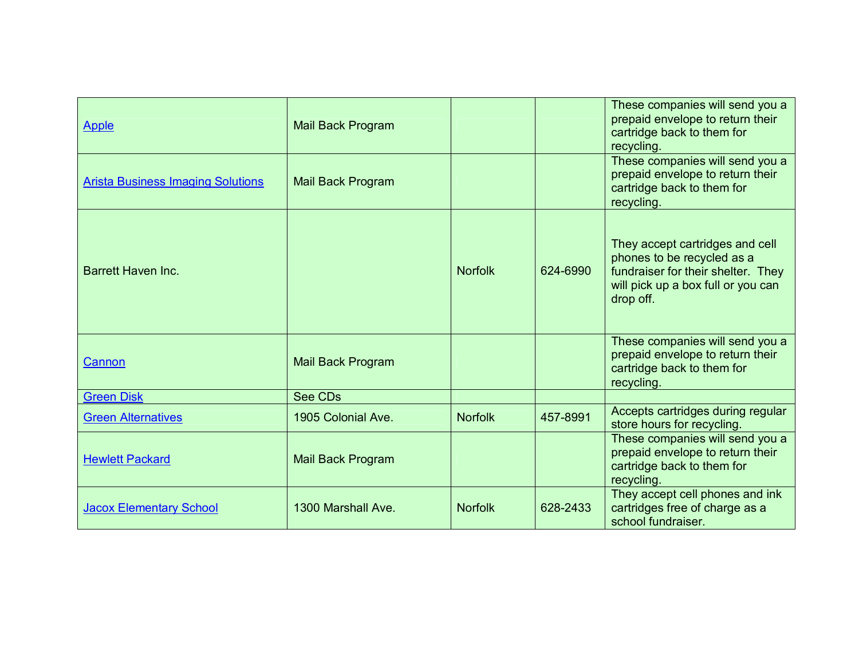| <b>Apple</b>                             | <b>Mail Back Program</b> |                |          | These companies will send you a<br>prepaid envelope to return their<br>cartridge back to them for<br>recycling.                                        |
|------------------------------------------|--------------------------|----------------|----------|--------------------------------------------------------------------------------------------------------------------------------------------------------|
| <b>Arista Business Imaging Solutions</b> | <b>Mail Back Program</b> |                |          | These companies will send you a<br>prepaid envelope to return their<br>cartridge back to them for<br>recycling.                                        |
| <b>Barrett Haven Inc.</b>                |                          | <b>Norfolk</b> | 624-6990 | They accept cartridges and cell<br>phones to be recycled as a<br>fundraiser for their shelter. They<br>will pick up a box full or you can<br>drop off. |
| Cannon                                   | <b>Mail Back Program</b> |                |          | These companies will send you a<br>prepaid envelope to return their<br>cartridge back to them for<br>recycling.                                        |
| <b>Green Disk</b>                        | See CDs                  |                |          |                                                                                                                                                        |
| <b>Green Alternatives</b>                | 1905 Colonial Ave.       | <b>Norfolk</b> | 457-8991 | Accepts cartridges during regular<br>store hours for recycling.                                                                                        |
| <b>Hewlett Packard</b>                   | <b>Mail Back Program</b> |                |          | These companies will send you a<br>prepaid envelope to return their<br>cartridge back to them for<br>recycling.                                        |
| <b>Jacox Elementary School</b>           | 1300 Marshall Ave.       | <b>Norfolk</b> | 628-2433 | They accept cell phones and ink<br>cartridges free of charge as a<br>school fundraiser.                                                                |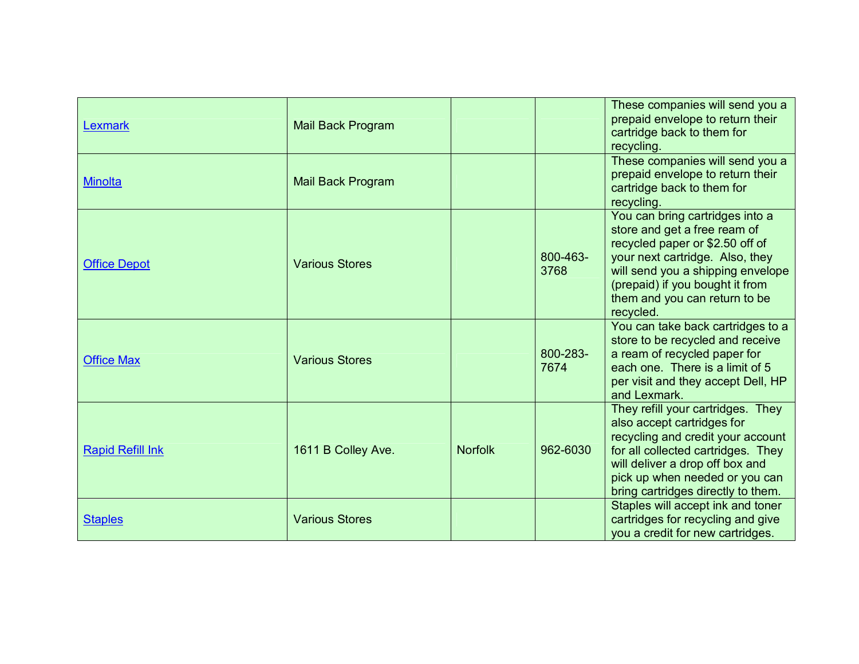| Lexmark                 | Mail Back Program     |                |                  | These companies will send you a<br>prepaid envelope to return their<br>cartridge back to them for<br>recycling.                                                                                                                                             |
|-------------------------|-----------------------|----------------|------------------|-------------------------------------------------------------------------------------------------------------------------------------------------------------------------------------------------------------------------------------------------------------|
| <b>Minolta</b>          | Mail Back Program     |                |                  | These companies will send you a<br>prepaid envelope to return their<br>cartridge back to them for<br>recycling.                                                                                                                                             |
| <b>Office Depot</b>     | <b>Various Stores</b> |                | 800-463-<br>3768 | You can bring cartridges into a<br>store and get a free ream of<br>recycled paper or \$2.50 off of<br>your next cartridge. Also, they<br>will send you a shipping envelope<br>(prepaid) if you bought it from<br>them and you can return to be<br>recycled. |
| <b>Office Max</b>       | <b>Various Stores</b> |                | 800-283-<br>7674 | You can take back cartridges to a<br>store to be recycled and receive<br>a ream of recycled paper for<br>each one. There is a limit of 5<br>per visit and they accept Dell, HP<br>and Lexmark.                                                              |
| <b>Rapid Refill Ink</b> | 1611 B Colley Ave.    | <b>Norfolk</b> | 962-6030         | They refill your cartridges. They<br>also accept cartridges for<br>recycling and credit your account<br>for all collected cartridges. They<br>will deliver a drop off box and<br>pick up when needed or you can<br>bring cartridges directly to them.       |
| <b>Staples</b>          | <b>Various Stores</b> |                |                  | Staples will accept ink and toner<br>cartridges for recycling and give<br>you a credit for new cartridges.                                                                                                                                                  |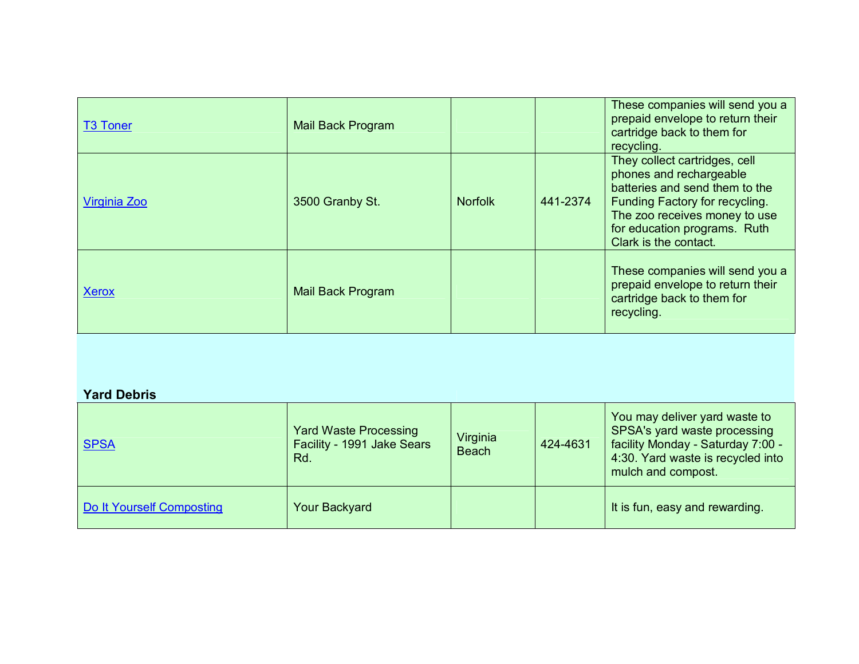| <b>T3 Toner</b> | Mail Back Program |                |          | These companies will send you a<br>prepaid envelope to return their<br>cartridge back to them for<br>recycling.                                                                                                        |
|-----------------|-------------------|----------------|----------|------------------------------------------------------------------------------------------------------------------------------------------------------------------------------------------------------------------------|
| Virginia Zoo    | 3500 Granby St.   | <b>Norfolk</b> | 441-2374 | They collect cartridges, cell<br>phones and rechargeable<br>batteries and send them to the<br>Funding Factory for recycling.<br>The zoo receives money to use<br>for education programs. Ruth<br>Clark is the contact. |
| <b>Xerox</b>    | Mail Back Program |                |          | These companies will send you a<br>prepaid envelope to return their<br>cartridge back to them for<br>recycling.                                                                                                        |
|                 |                   |                |          |                                                                                                                                                                                                                        |

## **Yard Debris**

| <b>SPSA</b>               | <b>Yard Waste Processing</b><br>Facility - 1991 Jake Sears<br>Rd. | Virginia<br><b>Beach</b> | 424-4631 | You may deliver yard waste to<br>SPSA's yard waste processing<br>facility Monday - Saturday 7:00 -<br>4:30. Yard waste is recycled into<br>mulch and compost. |
|---------------------------|-------------------------------------------------------------------|--------------------------|----------|---------------------------------------------------------------------------------------------------------------------------------------------------------------|
| Do It Yourself Composting | <b>Your Backyard</b>                                              |                          |          | It is fun, easy and rewarding.                                                                                                                                |